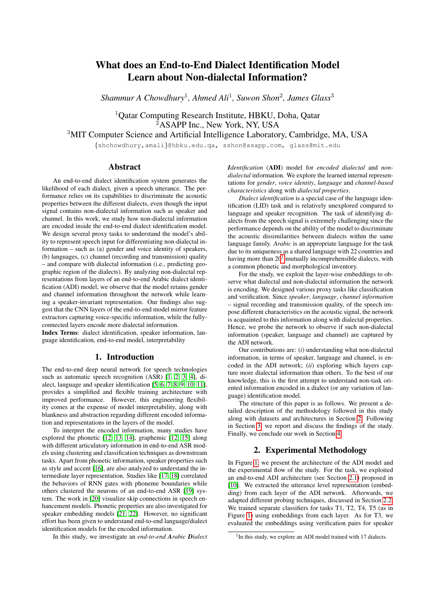# What does an End-to-End Dialect Identification Model Learn about Non-dialectal Information?

*Shammur A Chowdhury*<sup>1</sup> *, Ahmed Ali*<sup>1</sup> *, Suwon Shon*<sup>2</sup> *, James Glass*<sup>3</sup>

<sup>1</sup>Qatar Computing Research Institute, HBKU, Doha, Qatar <sup>2</sup>ASAPP Inc., New York, NY, USA

<sup>3</sup>MIT Computer Science and Artificial Intelligence Laboratory, Cambridge, MA, USA

{shchowdhury,amali}@hbku.edu.qa, sshon@asapp.com, glass@mit.edu

## Abstract

An end-to-end dialect identification system generates the likelihood of each dialect, given a speech utterance. The performance relies on its capabilities to discriminate the acoustic properties between the different dialects, even though the input signal contains non-dialectal information such as speaker and channel. In this work, we study how non-dialectal information are encoded inside the end-to-end dialect identification model. We design several proxy tasks to understand the model's ability to represent speech input for differentiating non-dialectal information – such as (a) gender and voice identity of speakers, (b) languages, (c) channel (recording and transmission) quality – and compare with dialectal information (i.e., predicting geographic region of the dialects). By analyzing non-dialectal representations from layers of an end-to-end Arabic dialect identification (ADI) model, we observe that the model retains gender and channel information throughout the network while learning a speaker-invariant representation. Our findings also suggest that the CNN layers of the end-to-end model mirror feature extractors capturing voice-specific information, while the fullyconnected layers encode more dialectal information.

Index Terms: dialect identification, speaker information, language identification, end-to-end model, interpretability

# 1. Introduction

The end-to-end deep neural network for speech technologies such as automatic speech recognition (ASR) [\[1,](#page-4-0) [2,](#page-4-1) [3,](#page-4-2) [4\]](#page-4-3), dialect, language and speaker identification [\[5,](#page-4-4) [6,](#page-4-5) [7,](#page-4-6) [8,](#page-4-7) [9,](#page-4-8) [10,](#page-4-9) [11\]](#page-4-10), provides a simplified and flexible training architecture with improved performance. However, this engineering flexibility comes at the expense of model interpretability, along with blankness and abstraction regarding different encoded information and representations in the layers of the model.

To interpret the encoded information, many studies have explored the phonetic [\[12,](#page-4-11) [13,](#page-4-12) [14\]](#page-4-13), graphemic [\[12,](#page-4-11) [15\]](#page-4-14) along with different articulatory information in end-to-end ASR models using clustering and classification techniques as downstream tasks. Apart from phonetic information, speaker properties such as style and accent [\[16\]](#page-4-15), are also analyzed to understand the intermediate layer representation. Studies like [\[17,](#page-4-16) [18\]](#page-4-17) correlated the behaviors of RNN gates with phoneme boundaries while others clustered the neurons of an end-to-end ASR [\[19\]](#page-4-18) system. The work in [\[20\]](#page-4-19) visualize skip connections in speech enhancement models. Phonetic properties are also investigated for speaker embedding models [\[21,](#page-4-20) [22\]](#page-4-21). However, no significant effort has been given to understand end-to-end language/dialect identification models for the encoded information.

In this study, we investigate an *end-to-end Arabic Dialect*

*Identification* (ADI) model for *encoded dialectal* and *nondialectal* information. We explore the learned internal representations for *gender*, *voice identity*, *language* and *channel-based characteristics* along with *dialectal properties*.

*Dialect identification* is a special case of the language identification (LID) task and is relatively unexplored compared to language and speaker recognition. The task of identifying dialects from the speech signal is extremely challenging since the performance depends on the ability of the model to discriminate the acoustic dissimilarities between dialects within the same language family. *Arabic* is an appropriate language for the task due to its uniqueness as a shared language with 22 countries and having more than  $20<sup>1</sup>$  $20<sup>1</sup>$  $20<sup>1</sup>$  mutually incomprehensible dialects, with a common phonetic and morphological inventory.

For the study, we exploit the layer-wise embeddings to observe what dialectal and non-dialectal information the network is encoding. We designed various proxy tasks like classification and verification. Since *speaker*, *language*, *channel information* – signal recording and transmission quality, of the speech impose different characteristics on the acoustic signal, the network is acquainted to this information along with dialectal properties. Hence, we probe the network to observe if such non-dialectal information (speaker, language and channel) are captured by the ADI network.

Our contributions are: (*i*) understanding what non-dialectal information, in terms of speaker, language and channel, is encoded in the ADI network; (*ii*) exploring which layers capture more dialectal information than others. To the best of our knowledge, this is the first attempt to understand non-task oriented information encoded in a dialect (or any variation of language) identification model.

The structure of this paper is as follows. We present a detailed description of the methodology followed in this study along with datasets and architectures in Section [2.](#page-0-1) Following in Section [3,](#page-2-0) we report and discuss the findings of the study. Finally, we conclude our work in Section [4.](#page-3-0)

# 2. Experimental Methodology

<span id="page-0-1"></span>In Figure [1,](#page-1-0) we present the architecture of the ADI model and the experimental flow of the study. For the task, we exploited an end-to-end ADI architecture (see Section [2.1\)](#page-1-1) proposed in [\[10\]](#page-4-9). We extracted the utterance level representation (embedding) from each layer of the ADI network. Afterwards, we adapted different probing techniques, discussed in Section [2.2.](#page-1-2) We trained separate classifiers for tasks T1, T2, T4, T5 (as in Figure [1\)](#page-1-0) using embeddings from each layer. As for T3, we evaluated the embeddings using verification pairs for speaker

<span id="page-0-0"></span><sup>&</sup>lt;sup>1</sup>In this study, we explore an ADI model trained with 17 dialects.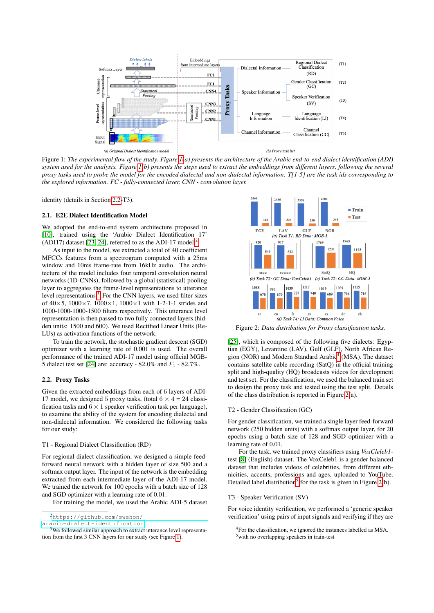<span id="page-1-0"></span>

Figure 1: *The experimental flow of the study. Figure [1\(](#page-1-0)a) presents the architecture of the Arabic end-to-end dialect identification (ADI) system used for the analysis. Figure [1\(](#page-1-0)b) presents the steps used to extract the embeddings from different layers, following the several proxy tasks used to probe the model for the encoded dialectal and non-dialectal information. T[1-5] are the task ids corresponding to the explored information. FC - fully-connected layer, CNN - convolution layer.*

identity (details in Section [2.2-](#page-1-2)T3).

#### <span id="page-1-1"></span>2.1. E2E Dialect Identification Model

We adopted the end-to-end system architecture proposed in [\[10\]](#page-4-9), trained using the 'Arabic Dialect Identification 17' (ADI17) dataset [\[23,](#page-4-22) [24\]](#page-4-23), referred to as the ADI-17 model.<sup>[2](#page-1-3)</sup>

As input to the model, we extracted a total of 40 coefficient MFCCs features from a spectrogram computed with a 25ms window and 10ms frame-rate from 16kHz audio. The architecture of the model includes four temporal convolution neural networks (1D-CNNs), followed by a global (statistical) pooling layer to aggregates the frame-level representations to utterance level representations.<sup>[3](#page-1-4)</sup> For the CNN layers, we used filter sizes of  $40 \times 5$ ,  $1000 \times 7$ ,  $1000 \times 1$ ,  $1000 \times 1$  with 1-2-1-1 strides and 1000-1000-1000-1500 filters respectively. This utterance level representation is then passed to two fully connected layers (hidden units: 1500 and 600). We used Rectified Linear Units (Re-LUs) as activation functions of the network.

To train the network, the stochastic gradient descent (SGD) optimizer with a learning rate of 0.001 is used. The overall performance of the trained ADI-17 model using official MGB-5 dialect test set [\[24\]](#page-4-23) are: accuracy - 82.0% and  $F_1$  - 82.7%.

### <span id="page-1-2"></span>2.2. Proxy Tasks

Given the extracted embeddings from each of 6 layers of ADI-17 model, we designed 5 proxy tasks, (total  $6 \times 4 = 24$  classification tasks and  $6 \times 1$  speaker verification task per language), to examine the ability of the system for encoding dialectal and non-dialectal information. We considered the following tasks for our study:

### T1 - Regional Dialect Classification (RD)

For regional dialect classification, we designed a simple feedforward neural network with a hidden layer of size 500 and a softmax output layer. The input of the network is the embedding extracted from each intermediate layer of the ADI-17 model. We trained the network for 100 epochs with a batch size of 128 and SGD optimizer with a learning rate of 0.01.

For training the model, we used the Arabic ADI-5 dataset

[arabic-dialect-identification](https://github.com/swshon/arabic-dialect-identification)

<span id="page-1-6"></span>

Figure 2: *Data distribution for Proxy classification tasks.*

[\[25\]](#page-4-24), which is composed of the following five dialects: Egyptian (EGY), Levantine (LAV), Gulf (GLF), North African Re-gion (NOR) and Modern Standard Arabic<sup>[4](#page-1-5)</sup> (MSA). The dataset contains satellite cable recording (SatQ) in the official training split and high-quality (HQ) broadcasts videos for development and test set. For the classification, we used the balanced train set to design the proxy task and tested using the test split. Details of the class distribution is reported in Figure [2\(](#page-1-6)a).

### T2 - Gender Classification (GC)

For gender classification, we trained a single layer feed-forward network (250 hidden units) with a softmax output layer, for 20 epochs using a batch size of 128 and SGD optimizer with a learning rate of 0.01.

For the task, we trained proxy classifiers using *VoxCleleb1* test [\[8\]](#page-4-7) (English) dataset. The VoxCeleb1 is a gender balanced dataset that includes videos of celebrities, from different ethnicities, accents, professions and ages, uploaded to YouTube. Detailed label distribution<sup>[5](#page-1-7)</sup> for the task is given in Figure [2\(](#page-1-6)b).

### T3 - Speaker Verification (SV)

For voice identity verification, we performed a 'generic speaker verification' using pairs of input signals and verifying if they are

<span id="page-1-3"></span><sup>2</sup>[https://github.com/swshon/](https://github.com/swshon/arabic-dialect-identification)

<span id="page-1-4"></span><sup>&</sup>lt;sup>3</sup>We followed similar approach to extract utterance level representation from the first 3 CNN layers for our study (see Figure [1\)](#page-1-0).

<span id="page-1-7"></span><span id="page-1-5"></span><sup>4</sup>For the classification, we ignored the instances labelled as MSA. <sup>5</sup>with no overlapping speakers in train-test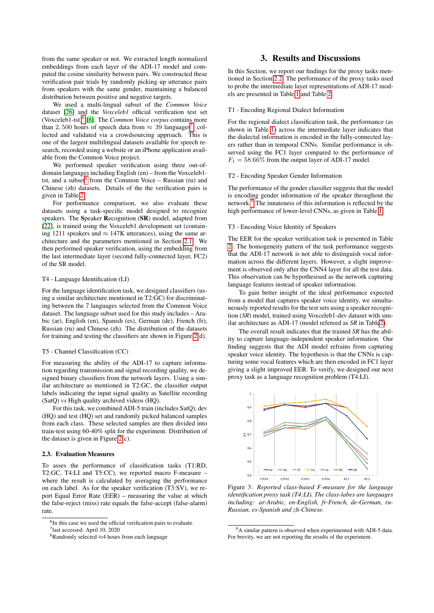from the same speaker or not. We extracted length normalized embeddings from each layer of the ADI-17 model and computed the cosine similarity between pairs. We constructed these verification pair trials by randomly picking up utterance pairs from speakers with the same gender, maintaining a balanced distribution between positive and negative targets.

We used a multi-lingual subset of the *Common Voice* dataset [\[26\]](#page-4-25) and the *Voxceleb1* official verification test set (Voxceleb1-tst)[6](#page-2-1) [\[8\]](#page-4-7). The *Common Voice corpus* contains more than 2,500 hours of speech data from  $\approx 39$  languages<sup>[7](#page-2-2)</sup>, collected and validated via a crowdsourcing approach. This is one of the largest multilingual datasets available for speech research, recorded using a website or an iPhone application available from the Common Voice project.

We performed speaker verification using three out-ofdomain languages including English (en) – from the Voxceleb1- tst, and a subset<sup>[8](#page-2-3)</sup> from the Common Voice – Russian (ru) and Chinese (zh) datasets. Details of the the verification pairs is given in Table [2.](#page-3-1)

For performance comparison, we also evaluate these datasets using a task-specific model designed to recognize speakers. The Speaker Recognition (SR) model, adapted from [\[22\]](#page-4-21), is trained using the Voxceleb1 development set (containing 1211 speakers and  $\approx 147K$  utterances), using the same architecture and the parameters mentioned in Section [2.1.](#page-1-1) We then performed speaker verification, using the embedding from the last intermediate layer (second fully-connected layer, FC2) of the SR model.

### T4 - Language Identification (LI)

For the language identification task, we designed classifiers (using a similar architecture mentioned in T2:GC) for discriminating between the 7 languages selected from the Common Voice dataset. The language subset used for this study includes – Arabic (ar), English (en), Spanish (es), German (de), French (fr), Russian (ru) and Chinese (zh). The distribution of the datasets for training and testing the classifiers are shown in Figure [2\(](#page-1-6)d).

#### T5 - Channel Classification (CC)

For measuring the ability of the ADI-17 to capture information regarding transmission and signal recording quality, we designed binary classifiers from the network layers. Using a similar architecture as mentioned in T2:GC, the classifier output labels indicating the input signal quality as Satellite recording (SatQ) *vs* High quality archived videos (HQ).

For this task, we combined ADI-5 train (includes SatQ), dev (HQ) and test (HQ) set and randomly picked balanced samples from each class. These selected samples are then divided into train-test using 60-40% split for the experiment. Distribution of the dataset is given in Figure [2\(](#page-1-6)c).

### 2.3. Evaluation Measures

To asses the performance of classification tasks (T1:RD, T2:GC, T4:LI and T5:CC), we reported macro F-measure – where the result is calculated by averaging the performance on each label. As for the speaker verification (T3:SV), we report Equal Error Rate (EER) – measuring the value at which the false-reject (miss) rate equals the false-accept (false-alarm) rate.

<span id="page-2-2"></span><span id="page-2-1"></span><sup>6</sup>In this case we used the official verification pairs to evaluate. 7 last accessed: April 10, 2020

### 3. Results and Discussions

<span id="page-2-0"></span>In this Section, we report our findings for the proxy tasks mentioned in Section [2.2.](#page-1-2) The performance of the proxy tasks used to probe the intermediate layer representations of ADI-17 models are presented in Table [1](#page-3-2) and Table [2.](#page-3-1)

### T1 - Encoding Regional Dialect Information

For the regional dialect classification task, the performance (as shown in Table [1\)](#page-3-2) across the intermediate layer indicates that the dialectal information is encoded in the fully-connected layers rather than in temporal CNNs. Similar performance is observed using the FC1 layer compared to the performance of  $F_1 = 58.66\%$  from the output layer of ADI-17 model.

### T2 - Encoding Speaker Gender Information

The performance of the gender classifier suggests that the model is encoding gender information of the speaker throughout the network.[9](#page-2-4) The innateness of this information is reflected by the high performance of lower-level CNNs, as given in Table [1.](#page-3-2)

### T3 - Encoding Voice Identity of Speakers

The EER for the speaker verification task is presented in Table [2.](#page-3-1) The homogeneity pattern of the task performance suggests that the ADI-17 network is not able to distinguish vocal information across the different layers. However, a slight improvement is observed only after the CNN4 layer for all the test data. This observation can be hypothesised as the network capturing language features instead of speaker information.

To gain better insight of the ideal performance expected from a model that captures speaker voice identity, we simultaneously reported results for the test sets using a speaker recognition (*SR*) model, trained using Voxceleb1-dev dataset with similar architecture as ADI-17 (model refereed as *SR* in Tabl[e2\)](#page-3-1).

The overall result indicates that the trained *SR* has the ability to capture language-independent speaker information. Our finding suggests that the ADI model refrains from capturing speaker voice identity. The hypothesis is that the CNNs is capturing some vocal features which are then encoded in FC1 layer giving a slight improved EER. To verify, we designed our next proxy task as a language recognition problem (T4:LI).

<span id="page-2-5"></span>

Figure 3: *Reported class-based F-measure for the language identification proxy task (T4:LI). The class-labes are languages including: ar-Arabic, en-English, fr-French, de-German, ru-Russian, es-Spanish and zh-Chinese.*

<span id="page-2-3"></span><sup>8</sup>Randomly selected ≈4 hours from each language

<span id="page-2-4"></span><sup>&</sup>lt;sup>9</sup>A similar pattern is observed when experimented with ADI-5 data. For brevity, we are not reporting the results of the experiment.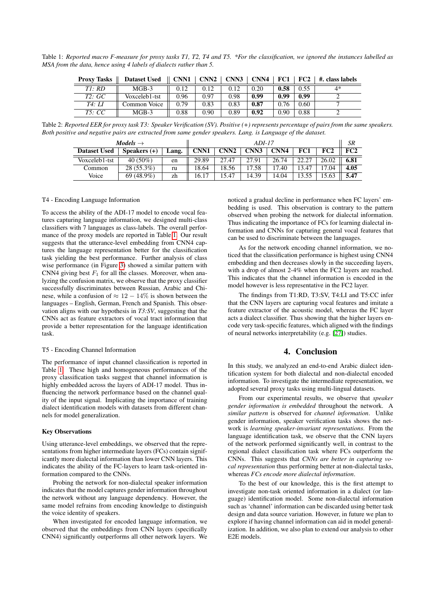<span id="page-3-2"></span>Table 1: *Reported macro F-measure for proxy tasks T1, T2, T4 and T5. \*For the classification, we ignored the instances labelled as MSA from the data, hence using 4 labels of dialects rather than 5.*

| <b>Proxy Tasks</b> | <b>Dataset Used</b> | CNN1 | CNN <sub>2</sub> | CNN <sub>3</sub> | CNN4 | FC1  | FC2  | #. class labels |
|--------------------|---------------------|------|------------------|------------------|------|------|------|-----------------|
| $T$ : RD           | $MGB-3$             | 0.12 | 0.12             | 0.12             | 0.20 | 0.58 | 0.55 | 4*              |
| T2:GC              | Voxceleb1-tst       | 0.96 | 0.97             | 0.98             | 0.99 | 0.99 | 0.99 |                 |
| <i>T4: LI</i>      | Common Voice        | 0.79 | 0.83             | 0.83             | 0.87 | 0.76 | 0.60 |                 |
| T5:CC              | MGB-3               | 0.88 | 0.90             | 0.89             | 0.92 | 0.90 | 0.88 |                 |

<span id="page-3-1"></span>Table 2: *Reported EER for proxy task T3: Speaker Verification (SV). Positive (+) represents percentage of pairs from the same speakers. Both positive and negative pairs are extracted from same gender speakers. Lang. is Language of the dataset.*

| Models $\rightarrow$ | $ADI-17$       |       |             |                  |       |       | SR    |       |      |
|----------------------|----------------|-------|-------------|------------------|-------|-------|-------|-------|------|
| <b>Dataset Used</b>  | Speakers $(+)$ | Lang. | <b>CNN1</b> | CNN <sub>2</sub> | CNN3  | CNN4  | FC1   | FC2   | FC2  |
| Voxceleb1-tst        | $40(50\%)$     | en    | 29.89       | 27.47            | 27.91 | 26.74 | 22.27 | 26.02 | 6.81 |
| Common               | 28 (55.3%)     | ru    | 18.64       | 18.56            | 17.58 | 17.40 | 13.47 | 17.04 | 4.05 |
| Voice                | $69(48.9\%)$   | zh    | 16.17       | .5.47            | 14.39 | 14.04 | 13.55 | 5.63  | 5.47 |

#### T4 - Encoding Language Information

To access the ability of the ADI-17 model to encode vocal features capturing language information, we designed multi-class classifiers with 7 languages as class-labels. The overall performance of the proxy models are reported in Table [1.](#page-3-2) Our result suggests that the utterance-level embedding from CNN4 captures the language representation better for the classification task yielding the best performance. Further analysis of class wise performance (in Figure [3\)](#page-2-5) showed a similar pattern with CNN4 giving best  $F_1$  for all the classes. Moreover, when analyzing the confusion matrix, we observe that the proxy classifier successfully discriminates between Russian, Arabic and Chinese, while a confusion of  $\approx 12 - 14\%$  is shown between the languages – English, German, French and Spanish. This observation aligns with our hypothesis in *T3:SV*, suggesting that the CNNs act as feature extractors of vocal tract information that provide a better representation for the language identification task.

### T5 - Encoding Channel Information

The performance of input channel classification is reported in Table [1.](#page-3-2) These high and homogeneous performances of the proxy classification tasks suggest that channel information is highly embedded across the layers of ADI-17 model. Thus influencing the network performance based on the channel quality of the input signal. Implicating the importance of training dialect identification models with datasets from different channels for model generalization.

#### Key Observations

Using utterance-level embeddings, we observed that the representations from higher intermediate layers (FCs) contain significantly more dialectal information than lower CNN layers. This indicates the ability of the FC-layers to learn task-oriented information compared to the CNNs.

Probing the network for non-dialectal speaker information indicates that the model captures gender information throughout the network without any language dependency. However, the same model refrains from encoding knowledge to distinguish the voice identity of speakers.

When investigated for encoded language information, we observed that the embeddings from CNN layers (specifically CNN4) significantly outperforms all other network layers. We

noticed a gradual decline in performance when FC layers' embedding is used. This observation is contrary to the pattern observed when probing the network for dialectal information. Thus indicating the importance of FCs for learning dialectal information and CNNs for capturing general vocal features that can be used to discriminate between the languages.

As for the network encoding channel information, we noticed that the classification performance is highest using CNN4 embedding and then decreases slowly in the succeeding layers, with a drop of almost 2-4% when the FC2 layers are reached. This indicates that the channel information is encoded in the model however is less representative in the FC2 layer.

The findings from T1:RD, T3:SV, T4:LI and T5:CC infer that the CNN layers are capturing vocal features and imitate a feature extractor of the acoustic model, whereas the FC layer acts a dialect classifier. Thus showing that the higher layers encode very task-specific features, which aligned with the findings of neural networks interpretability (e.g. [\[27\]](#page-4-26)) studies.

# 4. Conclusion

<span id="page-3-0"></span>In this study, we analyzed an end-to-end Arabic dialect identification system for both dialectal and non-dialectal encoded information. To investigate the intermediate representation, we adopted several proxy tasks using multi-lingual datasets.

From our experimental results, we observe that *speaker gender information is embedded* throughout the network. A *similar pattern* is observed for *channel information*. Unlike gender information, speaker verification tasks shows the network is *learning speaker-invariant representations*. From the language identification task, we observe that the CNN layers of the network performed significantly well, in contrast to the regional dialect classification task where FCs outperform the CNNs. This suggests that *CNNs are better in capturing vocal representation* thus performing better at non-dialectal tasks, whereas *FCs encode more dialectal information*.

To the best of our knowledge, this is the first attempt to investigate non-task oriented information in a dialect (or language) identification model. Some non-dialectal information such as 'channel' information can be discarded using better task design and data source variation. However, in future we plan to explore if having channel information can aid in model generalization. In addition, we also plan to extend our analysis to other E2E models.